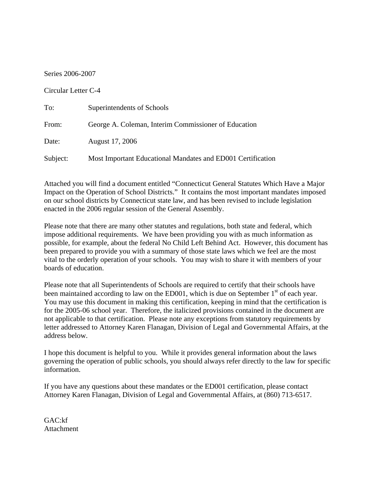## Series 2006-2007

## Circular Letter C-4

| To:      | Superintendents of Schools                                  |
|----------|-------------------------------------------------------------|
| From:    | George A. Coleman, Interim Commissioner of Education        |
| Date:    | August 17, 2006                                             |
| Subject: | Most Important Educational Mandates and ED001 Certification |

Attached you will find a document entitled "Connecticut General Statutes Which Have a Major Impact on the Operation of School Districts." It contains the most important mandates imposed on our school districts by Connecticut state law, and has been revised to include legislation enacted in the 2006 regular session of the General Assembly.

Please note that there are many other statutes and regulations, both state and federal, which impose additional requirements. We have been providing you with as much information as possible, for example, about the federal No Child Left Behind Act. However, this document has been prepared to provide you with a summary of those state laws which we feel are the most vital to the orderly operation of your schools. You may wish to share it with members of your boards of education.

Please note that all Superintendents of Schools are required to certify that their schools have been maintained according to law on the ED001, which is due on September  $1<sup>st</sup>$  of each year. You may use this document in making this certification, keeping in mind that the certification is for the 2005-06 school year. Therefore, the italicized provisions contained in the document are not applicable to that certification. Please note any exceptions from statutory requirements by letter addressed to Attorney Karen Flanagan, Division of Legal and Governmental Affairs, at the address below.

I hope this document is helpful to you. While it provides general information about the laws governing the operation of public schools, you should always refer directly to the law for specific information.

If you have any questions about these mandates or the ED001 certification, please contact Attorney Karen Flanagan, Division of Legal and Governmental Affairs, at (860) 713-6517.

GAC:kf Attachment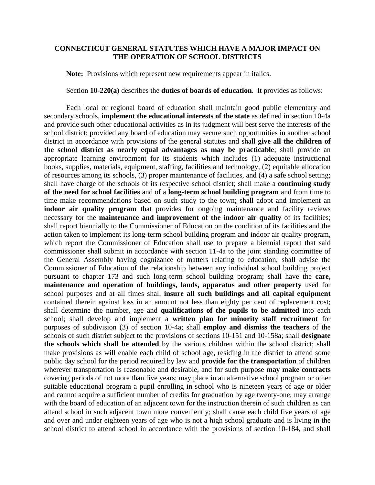## **CONNECTICUT GENERAL STATUTES WHICH HAVE A MAJOR IMPACT ON THE OPERATION OF SCHOOL DISTRICTS**

**Note:** Provisions which represent new requirements appear in italics.

## Section **10-220(a)** describes the **duties of boards of education**. It provides as follows:

 Each local or regional board of education shall maintain good public elementary and secondary schools, **implement the educational interests of the state** as defined in section 10-4a and provide such other educational activities as in its judgment will best serve the interests of the school district; provided any board of education may secure such opportunities in another school district in accordance with provisions of the general statutes and shall **give all the children of the school district as nearly equal advantages as may be practicable**; shall provide an appropriate learning environment for its students which includes (1) adequate instructional books, supplies, materials, equipment, staffing, facilities and technology, (2) equitable allocation of resources among its schools, (3) proper maintenance of facilities, and (4) a safe school setting; shall have charge of the schools of its respective school district; shall make a **continuing study of the need for school facilities** and of a **long-term school building program** and from time to time make recommendations based on such study to the town; shall adopt and implement an indoor air quality program that provides for ongoing maintenance and facility reviews necessary for the **maintenance and improvement of the indoor air quality** of its facilities; shall report biennially to the Commissioner of Education on the condition of its facilities and the action taken to implement its long-term school building program and indoor air quality program, which report the Commissioner of Education shall use to prepare a biennial report that said commissioner shall submit in accordance with section 11-4a to the joint standing committee of the General Assembly having cognizance of matters relating to education; shall advise the Commissioner of Education of the relationship between any individual school building project pursuant to chapter 173 and such long-term school building program; shall have the **care, maintenance and operation of buildings, lands, apparatus and other property** used for school purposes and at all times shall **insure all such buildings and all capital equipment** contained therein against loss in an amount not less than eighty per cent of replacement cost; shall determine the number, age and **qualifications of the pupils to be admitted** into each school; shall develop and implement a **written plan for minority staff recruitment** for purposes of subdivision (3) of section 10-4a; shall **employ and dismiss the teachers** of the schools of such district subject to the provisions of sections 10-151 and 10-158a; shall **designate the schools which shall be attended** by the various children within the school district; shall make provisions as will enable each child of school age, residing in the district to attend some public day school for the period required by law and **provide for the transportation** of children wherever transportation is reasonable and desirable, and for such purpose **may make contracts** covering periods of not more than five years; may place in an alternative school program or other suitable educational program a pupil enrolling in school who is nineteen years of age or older and cannot acquire a sufficient number of credits for graduation by age twenty-one; may arrange with the board of education of an adjacent town for the instruction therein of such children as can attend school in such adjacent town more conveniently; shall cause each child five years of age and over and under eighteen years of age who is not a high school graduate and is living in the school district to attend school in accordance with the provisions of section 10-184, and shall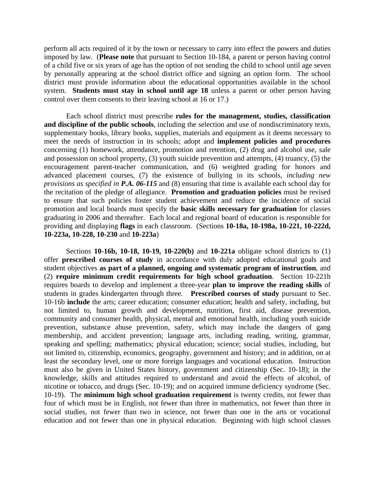perform all acts required of it by the town or necessary to carry into effect the powers and duties imposed by law. (**Please note** that pursuant to Section 10-184, a parent or person having control of a child five or six years of age has the option of not sending the child to school until age seven by personally appearing at the school district office and signing an option form. The school district must provide information about the educational opportunities available in the school system. **Students must stay in school until age 18** unless a parent or other person having control over them consents to their leaving school at 16 or 17.)

Each school district must prescribe **rules for the management, studies, classification and discipline of the public schools**, including the selection and use of nondiscriminatory texts, supplementary books, library books, supplies, materials and equipment as it deems necessary to meet the needs of instruction in its schools; adopt and **implement policies and procedures** concerning (1) homework, attendance, promotion and retention, (2) drug and alcohol use, sale and possession on school property, (3) youth suicide prevention and attempts, (4) truancy, (5) the encouragement parent-teacher communication, and (6) weighted grading for honors and advanced placement courses, (7) the existence of bullying in its schools, *including new provisions as specified in P.A. 06-115* and (8) ensuring that time is available each school day for the recitation of the pledge of allegiance. **Promotion and graduation policies** must be revised to ensure that such policies foster student achievement and reduce the incidence of social promotion and local boards must specify the **basic skills necessary for graduation** for classes graduating in 2006 and thereafter. Each local and regional board of education is responsible for providing and displaying **flags** in each classroom. (Sections **10-18a, 10-198a, 10-221, 10-222d, 10-223a, 10-228, 10-230** and **10-223a**)

Sections **10-16b, 10-18, 10-19, 10-220(b)** and **10-221a** obligate school districts to (1) offer **prescribed courses of study** in accordance with duly adopted educational goals and student objectives **as part of a planned, ongoing and systematic program of instruction**, and (2) **require minimum credit requirements for high school graduation**. Section 10-221h requires boards to develop and implement a three-year **plan to improve the reading skills** of students in grades kindergarten through three*.* **Prescribed courses of study** pursuant to Sec. 10-16b **include** the arts; career education; consumer education; health and safety, including, but not limited to, human growth and development, nutrition, first aid, disease prevention, community and consumer health, physical, mental and emotional health, including youth suicide prevention, substance abuse prevention, safety, which may include the dangers of gang membership, and accident prevention; language arts, including reading, writing, grammar, speaking and spelling; mathematics; physical education; science; social studies, including, but not limited to, citizenship, economics, geography, government and history; and in addition, on at least the secondary level, one or more foreign languages and vocational education. Instruction must also be given in United States history, government and citizenship (Sec. 10-18); in the knowledge, skills and attitudes required to understand and avoid the effects of alcohol, of nicotine or tobacco, and drugs (Sec. 10-19); and on acquired immune deficiency syndrome (Sec. 10-19). The **minimum high school graduation requirement** is twenty credits, not fewer than four of which must be in English, not fewer than three in mathematics, not fewer than three in social studies, not fewer than two in science, not fewer than one in the arts or vocational education and not fewer than one in physical education. Beginning with high school classes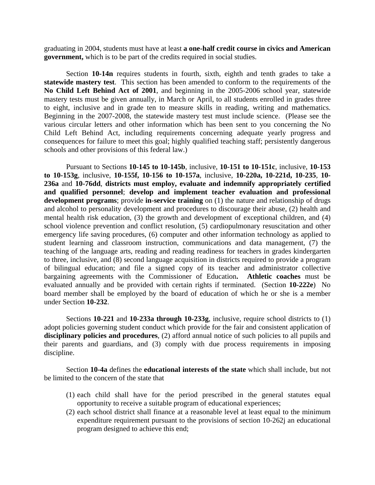graduating in 2004, students must have at least **a one-half credit course in civics and American government,** which is to be part of the credits required in social studies.

 Section **10-14n** requires students in fourth, sixth, eighth and tenth grades to take a **statewide mastery test**. This section has been amended to conform to the requirements of the **No Child Left Behind Act of 2001**, and beginning in the 2005-2006 school year, statewide mastery tests must be given annually, in March or April, to all students enrolled in grades three to eight, inclusive and in grade ten to measure skills in reading, writing and mathematics. Beginning in the 2007-2008, the statewide mastery test must include science. (Please see the various circular letters and other information which has been sent to you concerning the No Child Left Behind Act, including requirements concerning adequate yearly progress and consequences for failure to meet this goal; highly qualified teaching staff; persistently dangerous schools and other provisions of this federal law.)

Pursuant to Sections **10-145 to 10-145b**, inclusive, **10-151 to 10-151c**, inclusive, **10-153 to 10-153g**, inclusive, **10-155f, 10-156 to 10-157a**, inclusive, **10-220a, 10-221d, 10-235**, **10- 236a** and **10-76dd**, **districts must employ, evaluate and indemnify appropriately certified and qualified personnel**; **develop and implement teacher evaluation and professional**  development programs; provide in-service training on (1) the nature and relationship of drugs and alcohol to personality development and procedures to discourage their abuse, (2) health and mental health risk education, (3) the growth and development of exceptional children, and (4) school violence prevention and conflict resolution, (5) cardiopulmonary resuscitation and other emergency life saving procedures, (6) computer and other information technology as applied to student learning and classroom instruction, communications and data management, (7) the teaching of the language arts, reading and reading readiness for teachers in grades kindergarten to three*,* inclusive, and (8) second language acquisition in districts required to provide a program of bilingual education; and file a signed copy of its teacher and administrator collective bargaining agreements with the Commissioner of Education**. Athletic coaches** must be evaluated annually and be provided with certain rights if terminated. (Section **10-222e**) No board member shall be employed by the board of education of which he or she is a member under Section **10-232**.

Sections **10-221** and **10-233a through 10-233g**, inclusive, require school districts to (1) adopt policies governing student conduct which provide for the fair and consistent application of **disciplinary policies and procedures**, (2) afford annual notice of such policies to all pupils and their parents and guardians, and (3) comply with due process requirements in imposing discipline.

Section **10-4a** defines the **educational interests of the state** which shall include, but not be limited to the concern of the state that

- (1) each child shall have for the period prescribed in the general statutes equal opportunity to receive a suitable program of educational experiences;
- (2) each school district shall finance at a reasonable level at least equal to the minimum expenditure requirement pursuant to the provisions of section 10-262j an educational program designed to achieve this end;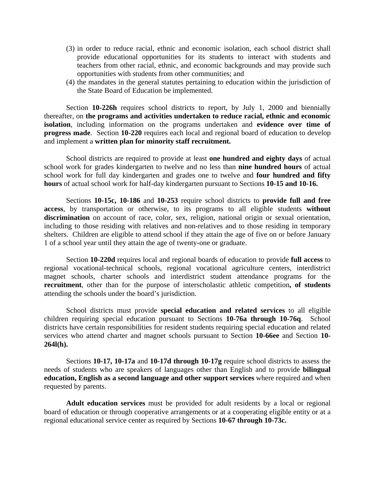- (3) in order to reduce racial, ethnic and economic isolation, each school district shall provide educational opportunities for its students to interact with students and teachers from other racial, ethnic, and economic backgrounds and may provide such opportunities with students from other communities; and
- (4) the mandates in the general statutes pertaining to education within the jurisdiction of the State Board of Education be implemented.

Section **10-226h** requires school districts to report, by July 1, 2000 and biennially thereafter, on **the programs and activities undertaken to reduce racial, ethnic and economic isolation**, including information on the programs undertaken and **evidence over time of progress made**. Section **10-220** requires each local and regional board of education to develop and implement a **written plan for minority staff recruitment.**

School districts are required to provide at least **one hundred and eighty days** of actual school work for grades kindergarten to twelve and no less than **nine hundred hours** of actual school work for full day kindergarten and grades one to twelve and **four hundred and fifty hours** of actual school work for half-day kindergarten pursuant to Sections **10-15 and 10-16.** 

Sections **10-15c, 10-186** and **10-253** require school districts to **provide full and free access**, by transportation or otherwise, to its programs to all eligible students **without discrimination** on account of race, color, sex, religion, national origin or sexual orientation*,*  including to those residing with relatives and non-relatives and to those residing in temporary shelters. Children are eligible to attend school if they attain the age of five on or before January 1 of a school year until they attain the age of twenty-one or graduate.

Section **10-220d** requires local and regional boards of education to provide **full access** to regional vocational-technical schools, regional vocational agriculture centers, interdistrict magnet schools, charter schools and interdistrict student attendance programs for the **recruitment**, other than for the purpose of interscholastic athletic competition**, of students** attending the schools under the board's jurisdiction.

School districts must provide **special education and related services** to all eligible children requiring special education pursuant to Sections **10-76a through 10-76q**. School districts have certain responsibilities for resident students requiring special education and related services who attend charter and magnet schools pursuant to Section **10-66ee** and Section **10- 264l(h).** 

Sections **10-17, 10-17a** and **10-17d through 10-17g** require school districts to assess the needs of students who are speakers of languages other than English and to provide **bilingual education, English as a second language and other support services** where required and when requested by parents.

**Adult education services** must be provided for adult residents by a local or regional board of education or through cooperative arrangements or at a cooperating eligible entity or at a regional educational service center as required by Sections **10-67 through 10-73c.**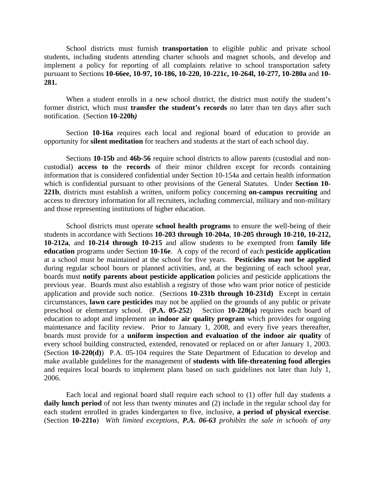School districts must furnish **transportation** to eligible public and private school students, including students attending charter schools and magnet schools, and develop and implement a policy for reporting of all complaints relative to school transportation safety pursuant to Sections **10-66ee, 10-97, 10-186, 10-220, 10-221c, 10-264l, 10-277, 10-280a** and **10- 281.** 

When a student enrolls in a new school district, the district must notify the student's former district, which must **transfer the student's records** no later than ten days after such notification. (Section **10-220h***)* 

Section **10-16a** requires each local and regional board of education to provide an opportunity for **silent meditation** for teachers and students at the start of each school day.

Sections **10-15b** and **46b-56** require school districts to allow parents (custodial and noncustodial) **access to** the **records** of their minor children except for records containing information that is considered confidential under Section 10-154a and certain health information which is confidential pursuant to other provisions of the General Statutes. Under **Section 10- 221b**, districts must establish a written, uniform policy concerning **on-campus recruiting** and access to directory information for all recruiters, including commercial, military and non-military and those representing institutions of higher education.

School districts must operate **school health programs** to ensure the well-being of their students in accordance with Sections **10-203 through 10-204a**, **10-205 through 10**-**210, 10-212, 10-212a**, and **10-214 through 10-215** and allow students to be exempted from **family life education** programs under Section **10-16e**. A copy of the record of each **pesticide application** at a school must be maintained at the school for five years. **Pesticides may not be applied** during regular school hours or planned activities, and, at the beginning of each school year, boards must **notify parents about pesticide application** policies and pesticide applications the previous year. Boards must also establish a registry of those who want prior notice of pesticide application and provide such notice. (Sections **10-231b through 10-231d)** Except in certain circumstances, **lawn care pesticides** may not be applied on the grounds of any public or private preschool or elementary school. (**P.A. 05-252**)Section **10-220(a)** requires each board of education to adopt and implement an **indoor air quality program** which provides for ongoing maintenance and facility review. Prior to January 1, 2008, and every five years thereafter, boards must provide for a **uniform inspection and evaluation of the indoor air quality** of every school building constructed, extended, renovated or replaced on or after January 1, 2003. (Section **10-220(d)**) P.A. 05-104 requires the State Department of Education to develop and make available guidelines for the management of **students with life-threatening food allergies** and requires local boards to implement plans based on such guidelines not later than July 1, 2006.

Each local and regional board shall require each school to (1) offer full day students a **daily lunch period** of not less than twenty minutes and (2) include in the regular school day for each student enrolled in grades kindergarten to five, inclusive, **a period of physical exercise**. (Section **10-221o**) *With limited exceptions, P.A. 06-63 prohibits the sale in schools of any*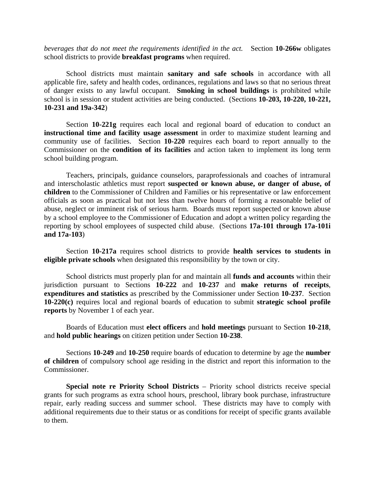*beverages that do not meet the requirements identified in the act.* Section **10-266w** obligates school districts to provide **breakfast programs** when required.

School districts must maintain **sanitary and safe schools** in accordance with all applicable fire, safety and health codes, ordinances, regulations and laws so that no serious threat of danger exists to any lawful occupant. **Smoking in school buildings** is prohibited while school is in session or student activities are being conducted. (Sections **10-203, 10-220, 10-221, 10-231 and 19a-342**)

Section **10-221g** requires each local and regional board of education to conduct an **instructional time and facility usage assessment** in order to maximize student learning and community use of facilities. Section **10-220** requires each board to report annually to the Commissioner on the **condition of its facilities** and action taken to implement its long term school building program.

Teachers, principals, guidance counselors, paraprofessionals and coaches of intramural and interscholastic athletics must report **suspected or known abuse, or danger of abuse, of children** to the Commissioner of Children and Families or his representative or law enforcement officials as soon as practical but not less than twelve hours of forming a reasonable belief of abuse, neglect or imminent risk of serious harm. Boards must report suspected or known abuse by a school employee to the Commissioner of Education and adopt a written policy regarding the reporting by school employees of suspected child abuse. (Sections **17a-101 through 17a-101i and 17a-103**)

Section **10-217a** requires school districts to provide **health services to students in eligible private schools** when designated this responsibility by the town or city.

School districts must properly plan for and maintain all **funds and accounts** within their jurisdiction pursuant to Sections **10-222** and **10-237** and **make returns of receipts**, **expenditures and statistics** as prescribed by the Commissioner under Section **10-237**. Section **10-220(c)** requires local and regional boards of education to submit **strategic school profile reports** by November 1 of each year.

Boards of Education must **elect officers** and **hold meetings** pursuant to Section **10-218**, and **hold public hearings** on citizen petition under Section **10-238**.

Sections **10-249** and **10-250** require boards of education to determine by age the **number of children** of compulsory school age residing in the district and report this information to the Commissioner.

**Special note re Priority School Districts** – Priority school districts receive special grants for such programs as extra school hours, preschool, library book purchase, infrastructure repair, early reading success and summer school. These districts may have to comply with additional requirements due to their status or as conditions for receipt of specific grants available to them.